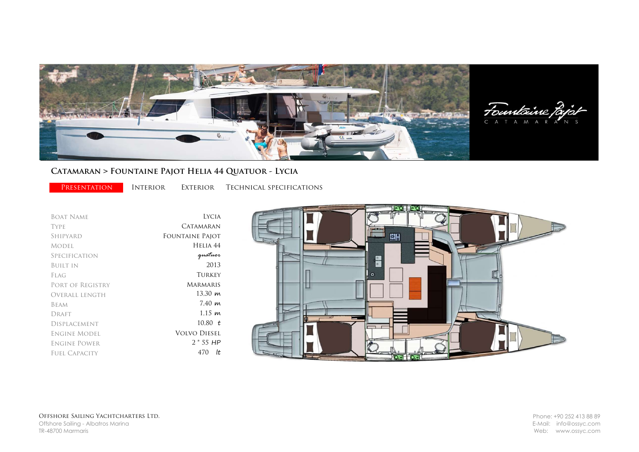

## Catamaran ˃ Fountaine Pajot Helia 44 Quatuor - Lycia

PRESENTATION INTERIOR EXTERIOR TECHNICAL SPECIFICATIONS

| <b>BOAT NAME</b>    | <b>LYCIA</b>        |
|---------------------|---------------------|
| <b>TYPE</b>         | CATAMARAN           |
| SHIPYARD            | Fountaine Pajot     |
| MODEL.              | Helia 44            |
| Specification       | quatuor             |
| <b>BUILT IN</b>     | 2013                |
| FLAG                | <b>TURKEY</b>       |
| PORT OF REGISTRY    | <b>MARMARIS</b>     |
| Overall length      | 13.30 m             |
| <b>BEAM</b>         | 7.40~m              |
| DRAFT               | 1.15~m              |
| <b>DISPLACEMENT</b> | 10.80 $t$           |
| Engine Model        | <b>VOLVO DIESEL</b> |
| Engine Power        | $2 * 55 HP$         |
| FUEL CAPACITY       | lt<br>470           |